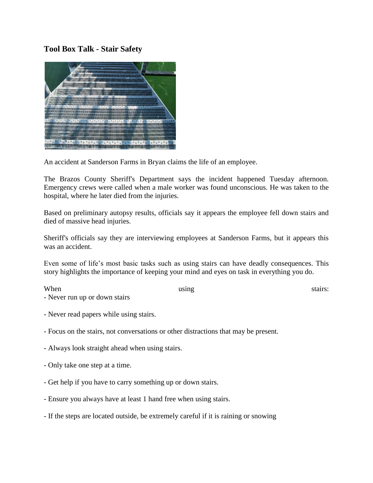## **Tool Box Talk - Stair Safety**



An accident at Sanderson Farms in Bryan claims the life of an employee.

The Brazos County Sheriff's Department says the incident happened Tuesday afternoon. Emergency crews were called when a male worker was found unconscious. He was taken to the hospital, where he later died from the injuries.

Based on preliminary autopsy results, officials say it appears the employee fell down stairs and died of massive head injuries.

Sheriff's officials say they are interviewing employees at Sanderson Farms, but it appears this was an accident.

Even some of life's most basic tasks such as using stairs can have deadly consequences. This story highlights the importance of keeping your mind and eyes on task in everything you do.

When using using stairs:

- Never read papers while using stairs.
- Focus on the stairs, not conversations or other distractions that may be present.
- Always look straight ahead when using stairs.
- Only take one step at a time.

- Never run up or down stairs

- Get help if you have to carry something up or down stairs.
- Ensure you always have at least 1 hand free when using stairs.
- If the steps are located outside, be extremely careful if it is raining or snowing